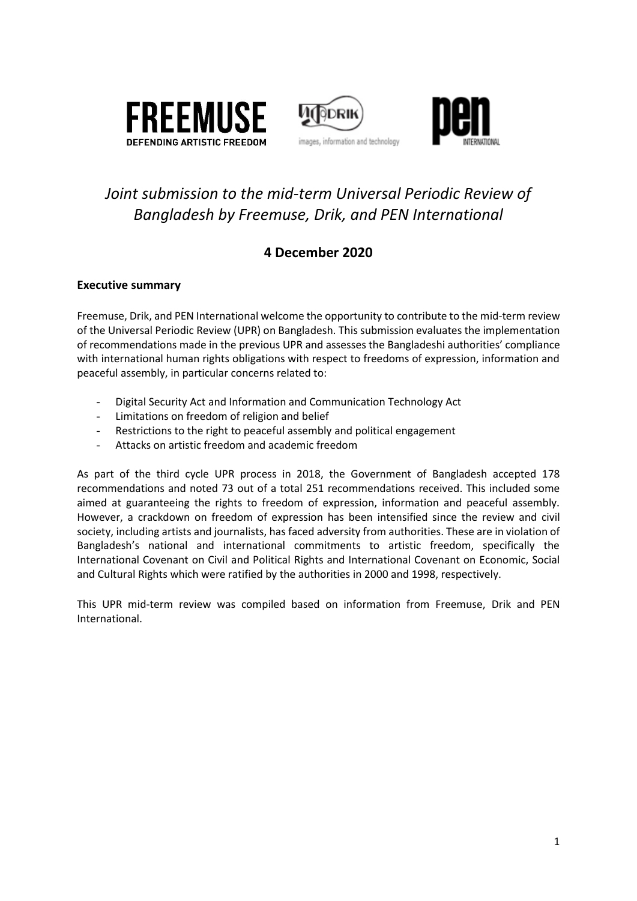





# *Joint submission to the mid-term Universal Periodic Review of Bangladesh by Freemuse, Drik, and PEN International*

### **4 December 2020**

### **Executive summary**

Freemuse, Drik, and PEN International welcome the opportunity to contribute to the mid-term review of the Universal Periodic Review (UPR) on Bangladesh. This submission evaluates the implementation of recommendations made in the previous UPR and assesses the Bangladeshi authorities' compliance with international human rights obligations with respect to freedoms of expression, information and peaceful assembly, in particular concerns related to:

- Digital Security Act and Information and Communication Technology Act
- Limitations on freedom of religion and belief
- Restrictions to the right to peaceful assembly and political engagement
- Attacks on artistic freedom and academic freedom

As part of the third cycle UPR process in 2018, the Government of Bangladesh accepted 178 recommendations and noted 73 out of a total 251 recommendations received. This included some aimed at guaranteeing the rights to freedom of expression, information and peaceful assembly. However, a crackdown on freedom of expression has been intensified since the review and civil society, including artists and journalists, has faced adversity from authorities. These are in violation of Bangladesh's national and international commitments to artistic freedom, specifically the International Covenant on Civil and Political Rights and International Covenant on Economic, Social and Cultural Rights which were ratified by the authorities in 2000 and 1998, respectively.

This UPR mid-term review was compiled based on information from Freemuse, Drik and PEN International.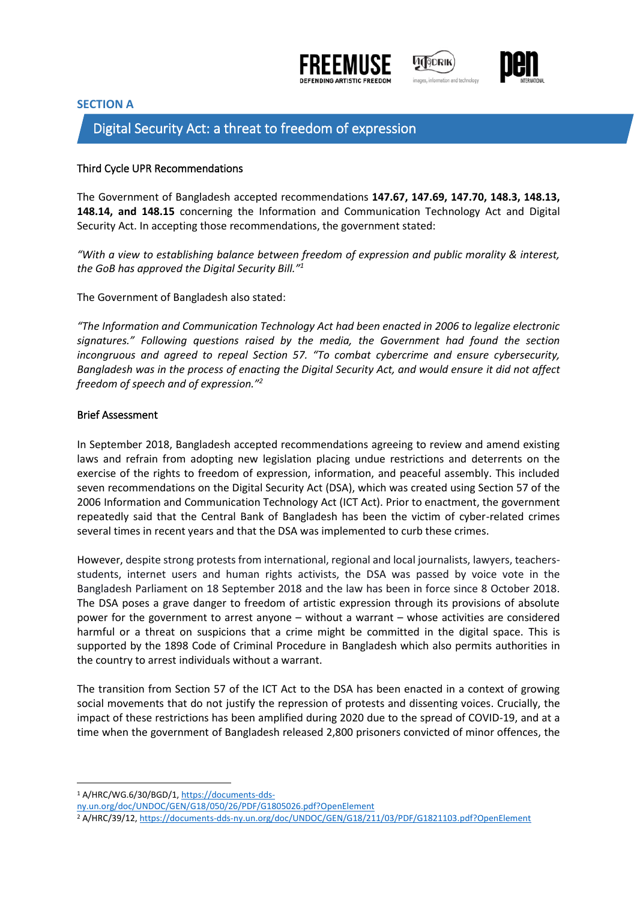





#### **SECTION A**

### Digital Security Act: a threat to freedom of expression

#### Third Cycle UPR Recommendations

The Government of Bangladesh accepted recommendations **147.67, 147.69, 147.70, 148.3, 148.13, 148.14, and 148.15** concerning the Information and Communication Technology Act and Digital Security Act. In accepting those recommendations, the government stated:

*"With a view to establishing balance between freedom of expression and public morality & interest, the GoB has approved the Digital Security Bill." 1*

The Government of Bangladesh also stated:

*"The Information and Communication Technology Act had been enacted in 2006 to legalize electronic signatures." Following questions raised by the media, the Government had found the section incongruous and agreed to repeal Section 57. "To combat cybercrime and ensure cybersecurity, Bangladesh was in the process of enacting the Digital Security Act, and would ensure it did not affect freedom of speech and of expression." 2*

#### Brief Assessment

In September 2018, Bangladesh accepted recommendations agreeing to review and amend existing laws and refrain from adopting new legislation placing undue restrictions and deterrents on the exercise of the rights to freedom of expression, information, and peaceful assembly. This included seven recommendations on the Digital Security Act (DSA), which was created using Section 57 of the 2006 Information and Communication Technology Act (ICT Act). Prior to enactment, the government repeatedly said that the Central Bank of Bangladesh has been the victim of cyber-related crimes several times in recent years and that the DSA was implemented to curb these crimes.

However, despite strong protests from international, regional and local journalists, lawyers, teachersstudents, internet users and human rights activists, the DSA was passed by voice vote in the Bangladesh Parliament on 18 September 2018 and the law has been in force since 8 October 2018. The DSA poses a grave danger to freedom of artistic expression through its provisions of absolute power for the government to arrest anyone – without a warrant – whose activities are considered harmful or a threat on suspicions that a crime might be committed in the digital space. This is supported by the 1898 Code of Criminal Procedure in Bangladesh which also permits authorities in the country to arrest individuals without a warrant.

The transition from Section 57 of the ICT Act to the DSA has been enacted in a context of growing social movements that do not justify the repression of protests and dissenting voices. Crucially, the impact of these restrictions has been amplified during 2020 due to the spread of COVID-19, and at a time when the government of Bangladesh released 2,800 prisoners convicted of minor offences, the

[ny.un.org/doc/UNDOC/GEN/G18/050/26/PDF/G1805026.pdf?OpenElement](https://documents-dds-ny.un.org/doc/UNDOC/GEN/G18/050/26/PDF/G1805026.pdf?OpenElement)

<sup>1</sup> A/HRC/WG.6/30/BGD/1[, https://documents-dds-](https://documents-dds-ny.un.org/doc/UNDOC/GEN/G18/050/26/PDF/G1805026.pdf?OpenElement)

<sup>2</sup> A/HRC/39/12[, https://documents-dds-ny.un.org/doc/UNDOC/GEN/G18/211/03/PDF/G1821103.pdf?OpenElement](https://documents-dds-ny.un.org/doc/UNDOC/GEN/G18/211/03/PDF/G1821103.pdf?OpenElement)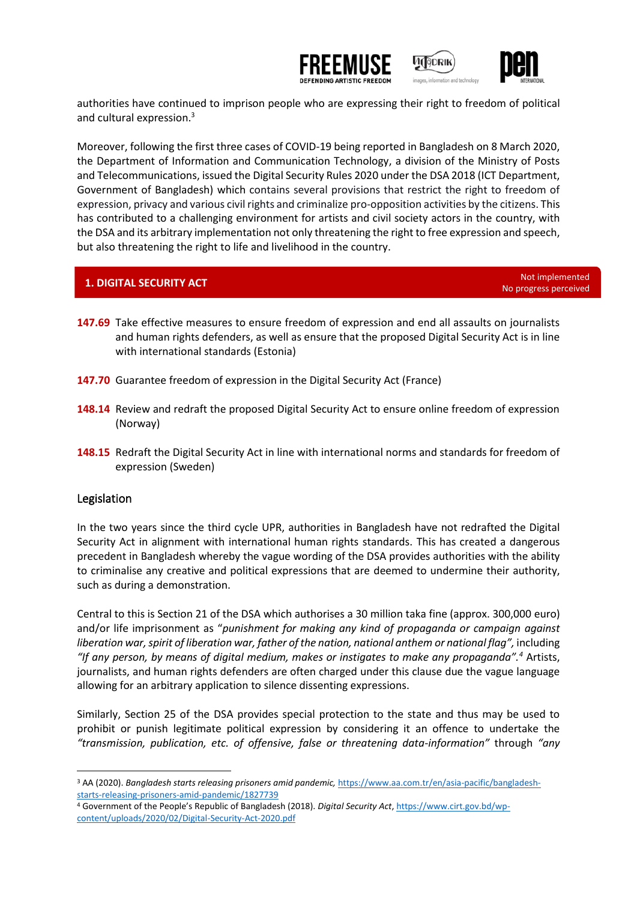



ÌDR⊪

authorities have continued to imprison people who are expressing their right to freedom of political and cultural expression. 3

Moreover, following the first three cases of COVID-19 being reported in Bangladesh on 8 March 2020, the Department of Information and Communication Technology, a division of the Ministry of Posts and Telecommunications, issued the Digital Security Rules 2020 under the DSA 2018 (ICT Department, Government of Bangladesh) which contains several provisions that restrict the right to freedom of expression, privacy and various civil rights and criminalize pro-opposition activities by the citizens. This has contributed to a challenging environment for artists and civil society actors in the country, with the DSA and its arbitrary implementation not only threatening the right to free expression and speech, but also threatening the right to life and livelihood in the country.

# **1. DIGITAL SECURITY ACT Note and the CONSTRUCT CONSTRUCT ACT** Not implemented

No progress perceived

- **147.69** Take effective measures to ensure freedom of expression and end all assaults on journalists and human rights defenders, as well as ensure that the proposed Digital Security Act is in line with international standards (Estonia)
- **147.70** Guarantee freedom of expression in the Digital Security Act (France)
- **148.14** Review and redraft the proposed Digital Security Act to ensure online freedom of expression (Norway)
- **148.15** Redraft the Digital Security Act in line with international norms and standards for freedom of expression (Sweden)

#### Legislation

In the two years since the third cycle UPR, authorities in Bangladesh have not redrafted the Digital Security Act in alignment with international human rights standards. This has created a dangerous precedent in Bangladesh whereby the vague wording of the DSA provides authorities with the ability to criminalise any creative and political expressions that are deemed to undermine their authority, such as during a demonstration.

Central to this is Section 21 of the DSA which authorises a 30 million taka fine (approx. 300,000 euro) and/or life imprisonment as "*punishment for making any kind of propaganda or campaign against liberation war, spirit of liberation war, father of the nation, national anthem or national flag",* including *"If any person, by means of digital medium, makes or instigates to make any propaganda".<sup>4</sup>* Artists, journalists, and human rights defenders are often charged under this clause due the vague language allowing for an arbitrary application to silence dissenting expressions.

Similarly, Section 25 of the DSA provides special protection to the state and thus may be used to prohibit or punish legitimate political expression by considering it an offence to undertake the *"transmission, publication, etc. of offensive, false or threatening data-information"* through *"any* 

<sup>3</sup> AA (2020). *Bangladesh starts releasing prisoners amid pandemic,* [https://www.aa.com.tr/en/asia-pacific/bangladesh](https://www.aa.com.tr/en/asia-pacific/bangladesh-starts-releasing-prisoners-amid-pandemic/1827739)[starts-releasing-prisoners-amid-pandemic/1827739](https://www.aa.com.tr/en/asia-pacific/bangladesh-starts-releasing-prisoners-amid-pandemic/1827739)

<sup>4</sup> Government of the People's Republic of Bangladesh (2018). *Digital Security Act*[, https://www.cirt.gov.bd/wp](https://www.cirt.gov.bd/wp-content/uploads/2020/02/Digital-Security-Act-2020.pdf)[content/uploads/2020/02/Digital-Security-Act-2020.pdf](https://www.cirt.gov.bd/wp-content/uploads/2020/02/Digital-Security-Act-2020.pdf)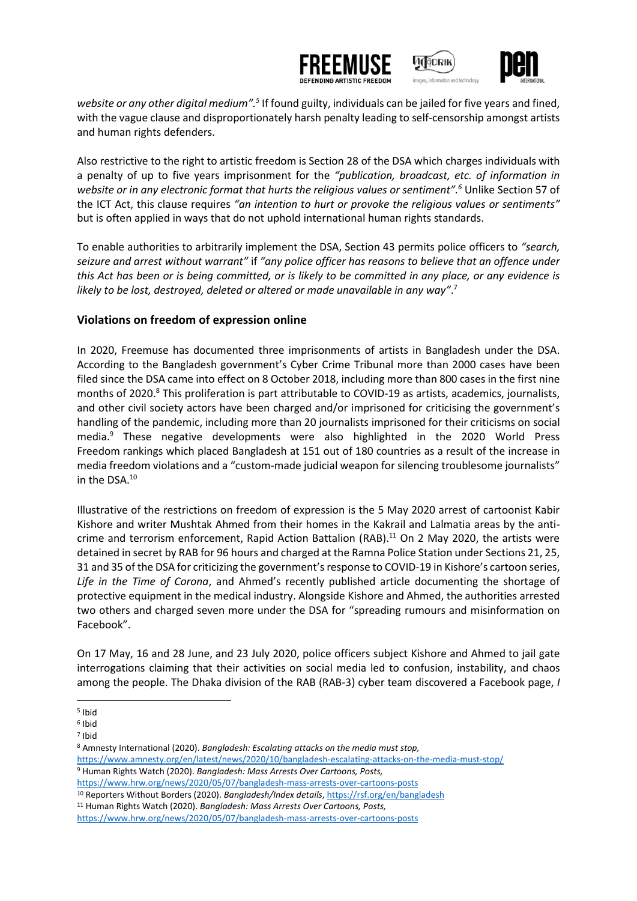





website or any other digital medium".<sup>5</sup> If found guilty, individuals can be jailed for five years and fined, with the vague clause and disproportionately harsh penalty leading to self-censorship amongst artists and human rights defenders.

Also restrictive to the right to artistic freedom is Section 28 of the DSA which charges individuals with a penalty of up to five years imprisonment for the *"publication, broadcast, etc. of information in website or in any electronic format that hurts the religious values or sentiment".<sup>6</sup>* Unlike Section 57 of the ICT Act, this clause requires *"an intention to hurt or provoke the religious values or sentiments"* but is often applied in ways that do not uphold international human rights standards.

To enable authorities to arbitrarily implement the DSA, Section 43 permits police officers to *"search, seizure and arrest without warrant"* if *"any police officer has reasons to believe that an offence under this Act has been or is being committed, or is likely to be committed in any place, or any evidence is likely to be lost, destroyed, deleted or altered or made unavailable in any way"*. 7

#### **Violations on freedom of expression online**

In 2020, Freemuse has documented three imprisonments of artists in Bangladesh under the DSA. According to the Bangladesh government's Cyber Crime Tribunal more than 2000 cases have been filed since the DSA came into effect on 8 October 2018, including more than 800 cases in the first nine months of 2020. <sup>8</sup> This proliferation is part attributable to COVID-19 as artists, academics, journalists, and other civil society actors have been charged and/or imprisoned for criticising the government's handling of the pandemic, including more than 20 journalists imprisoned for their criticisms on social media. <sup>9</sup> These negative developments were also highlighted in the 2020 World Press Freedom rankings which placed Bangladesh at 151 out of 180 countries as a result of the increase in media freedom violations and a "custom-made judicial weapon for silencing troublesome journalists" in the DSA.<sup>10</sup>

Illustrative of the restrictions on freedom of expression is the 5 May 2020 arrest of cartoonist Kabir Kishore and writer Mushtak Ahmed from their homes in the Kakrail and Lalmatia areas by the anticrime and terrorism enforcement, Rapid Action Battalion (RAB).<sup>11</sup> On 2 May 2020, the artists were detained in secret by RAB for 96 hours and charged at the Ramna Police Station under Sections 21, 25, 31 and 35 of the DSA for criticizing the government's response to COVID-19 in Kishore's cartoon series, *Life in the Time of Corona*, and Ahmed's recently published article documenting the shortage of protective equipment in the medical industry. Alongside Kishore and Ahmed, the authorities arrested two others and charged seven more under the DSA for "spreading rumours and misinformation on Facebook".

On 17 May, 16 and 28 June, and 23 July 2020, police officers subject Kishore and Ahmed to jail gate interrogations claiming that their activities on social media led to confusion, instability, and chaos among the people. The Dhaka division of the RAB (RAB-3) cyber team discovered a Facebook page, *I* 

<sup>8</sup> Amnesty International (2020). *Bangladesh: Escalating attacks on the media must stop,*  <https://www.amnesty.org/en/latest/news/2020/10/bangladesh-escalating-attacks-on-the-media-must-stop/> <sup>9</sup> Human Rights Watch (2020). *Bangladesh: Mass Arrests Over Cartoons, Posts,*  <https://www.hrw.org/news/2020/05/07/bangladesh-mass-arrests-over-cartoons-posts>

<sup>11</sup> Human Rights Watch (2020). *Bangladesh: Mass Arrests Over Cartoons, Posts,*

<sup>5</sup> Ibid

<sup>6</sup> Ibid

<sup>7</sup> Ibid

<sup>10</sup> Reporters Without Borders (2020). *Bangladesh/Index details*[, https://rsf.org/en/bangladesh](https://rsf.org/en/bangladesh)

<https://www.hrw.org/news/2020/05/07/bangladesh-mass-arrests-over-cartoons-posts>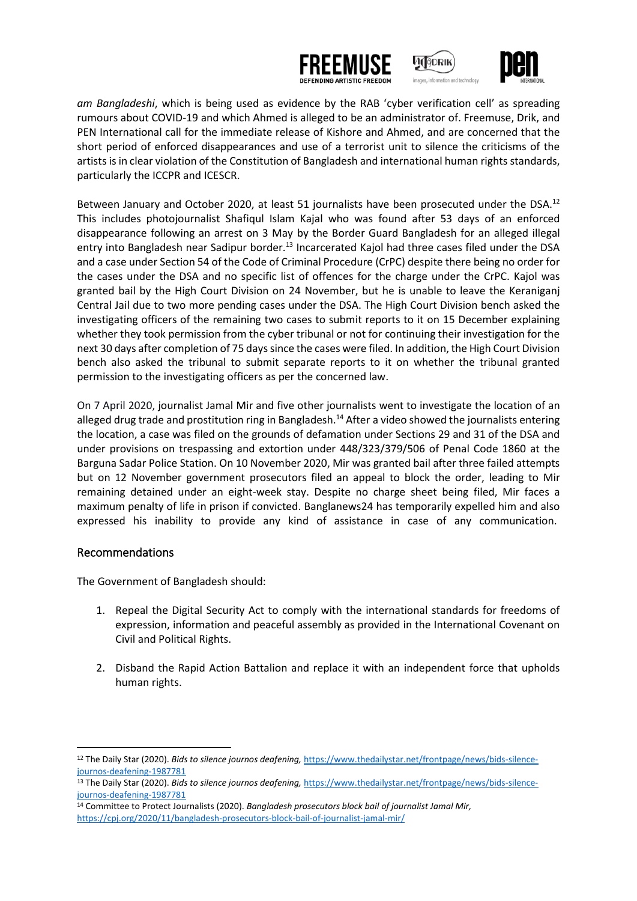





*am Bangladeshi*, which is being used as evidence by the RAB 'cyber verification cell' as spreading rumours about COVID-19 and which Ahmed is alleged to be an administrator of. Freemuse, Drik, and PEN International call for the immediate release of Kishore and Ahmed, and are concerned that the short period of enforced disappearances and use of a terrorist unit to silence the criticisms of the artists is in clear violation of the Constitution of Bangladesh and international human rights standards, particularly the ICCPR and ICESCR.

Between January and October 2020, at least 51 journalists have been prosecuted under the DSA.<sup>12</sup> This includes photojournalist Shafiqul Islam Kajal who was found after 53 days of an enforced disappearance following an arrest on 3 May by the Border Guard Bangladesh for an alleged illegal entry into Bangladesh near Sadipur border.<sup>13</sup> Incarcerated Kajol had three cases filed under the DSA and a case under Section 54 of the Code of Criminal Procedure (CrPC) despite there being no order for the cases under the DSA and no specific list of offences for the charge under the CrPC. Kajol was granted bail by the High Court Division on 24 November, but he is unable to leave the Keraniganj Central Jail due to two more pending cases under the DSA. The High Court Division bench asked the investigating officers of the remaining two cases to submit reports to it on 15 December explaining whether they took permission from the cyber tribunal or not for continuing their investigation for the next 30 days after completion of 75 days since the cases were filed. In addition, the High Court Division bench also asked the tribunal to submit separate reports to it on whether the tribunal granted permission to the investigating officers as per the concerned law.

On 7 April 2020, journalist Jamal Mir and five other journalists went to investigate the location of an alleged drug trade and prostitution ring in Bangladesh.<sup>14</sup> After a video showed the journalists entering the location, a case was filed on the grounds of defamation under Sections 29 and 31 of the DSA and under provisions on trespassing and extortion under 448/323/379/506 of Penal Code 1860 at the Barguna Sadar Police Station. On 10 November 2020, Mir was granted bail after three failed attempts but on 12 November government prosecutors filed an appeal to block the order, leading to Mir remaining detained under an eight-week stay. Despite no charge sheet being filed, Mir faces a maximum penalty of life in prison if convicted. Banglanews24 has temporarily expelled him and also expressed his inability to provide any kind of assistance in case of any communication.

#### Recommendations

The Government of Bangladesh should:

- 1. Repeal the Digital Security Act to comply with the international standards for freedoms of expression, information and peaceful assembly as provided in the International Covenant on Civil and Political Rights.
- 2. Disband the Rapid Action Battalion and replace it with an independent force that upholds human rights.

<sup>12</sup> The Daily Star (2020). *Bids to silence journos deafening,* [https://www.thedailystar.net/frontpage/news/bids-silence](https://www.thedailystar.net/frontpage/news/bids-silence-journos-deafening-1987781)[journos-deafening-1987781](https://www.thedailystar.net/frontpage/news/bids-silence-journos-deafening-1987781)

<sup>13</sup> The Daily Star (2020). *Bids to silence journos deafening,* [https://www.thedailystar.net/frontpage/news/bids-silence](https://www.thedailystar.net/frontpage/news/bids-silence-journos-deafening-1987781)[journos-deafening-1987781](https://www.thedailystar.net/frontpage/news/bids-silence-journos-deafening-1987781)

<sup>14</sup> Committee to Protect Journalists (2020). *Bangladesh prosecutors block bail of journalist Jamal Mir,*  <https://cpj.org/2020/11/bangladesh-prosecutors-block-bail-of-journalist-jamal-mir/>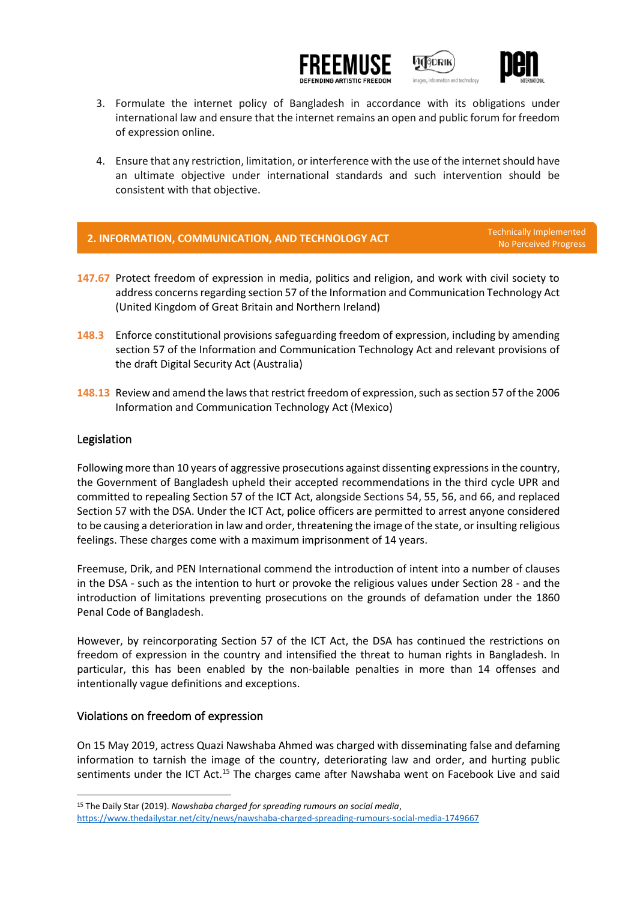





- 3. Formulate the internet policy of Bangladesh in accordance with its obligations under international law and ensure that the internet remains an open and public forum for freedom of expression online.
- 4. Ensure that any restriction, limitation, or interference with the use of the internet should have an ultimate objective under international standards and such intervention should be consistent with that objective.

# **2. INFORMATION, COMMUNICATION, AND TECHNOLOGY ACT**

No Perceived Progress

- **147.67** Protect freedom of expression in media, politics and religion, and work with civil society to address concerns regarding section 57 of the Information and Communication Technology Act (United Kingdom of Great Britain and Northern Ireland)
- **148.3** Enforce constitutional provisions safeguarding freedom of expression, including by amending section 57 of the Information and Communication Technology Act and relevant provisions of the draft Digital Security Act (Australia)
- **148.13** Review and amend the laws that restrict freedom of expression, such as section 57 of the 2006 Information and Communication Technology Act (Mexico)

#### Legislation

Following more than 10 years of aggressive prosecutions against dissenting expressions in the country, the Government of Bangladesh upheld their accepted recommendations in the third cycle UPR and committed to repealing Section 57 of the ICT Act, alongside Sections 54, 55, 56, and 66, and replaced Section 57 with the DSA. Under the ICT Act, police officers are permitted to arrest anyone considered to be causing a deterioration in law and order, threatening the image of the state, or insulting religious feelings. These charges come with a maximum imprisonment of 14 years.

Freemuse, Drik, and PEN International commend the introduction of intent into a number of clauses in the DSA - such as the intention to hurt or provoke the religious values under Section 28 - and the introduction of limitations preventing prosecutions on the grounds of defamation under the 1860 Penal Code of Bangladesh.

However, by reincorporating Section 57 of the ICT Act, the DSA has continued the restrictions on freedom of expression in the country and intensified the threat to human rights in Bangladesh. In particular, this has been enabled by the non-bailable penalties in more than 14 offenses and intentionally vague definitions and exceptions.

#### Violations on freedom of expression

On 15 May 2019, actress Quazi Nawshaba Ahmed was charged with disseminating false and defaming information to tarnish the image of the country, deteriorating law and order, and hurting public sentiments under the ICT Act.<sup>15</sup> The charges came after Nawshaba went on Facebook Live and said

<sup>15</sup> The Daily Star (2019). *Nawshaba charged for spreading rumours on social media*, <https://www.thedailystar.net/city/news/nawshaba-charged-spreading-rumours-social-media-1749667>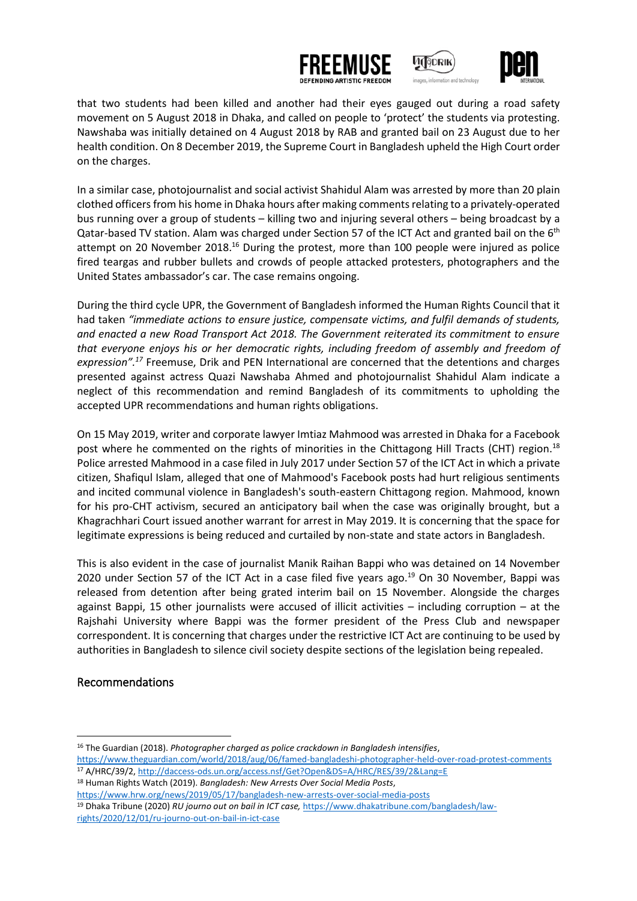





that two students had been killed and another had their eyes gauged out during a road safety movement on 5 August 2018 in Dhaka, and called on people to 'protect' the students via protesting. Nawshaba was initially detained on 4 August 2018 by RAB and granted bail on 23 August due to her health condition. On 8 December 2019, the Supreme Court in Bangladesh upheld the High Court order on the charges.

In a similar case, photojournalist and social activist Shahidul Alam was arrested by more than 20 plain clothed officers from his home in Dhaka hours after making comments relating to a privately-operated bus running over a group of students – killing two and injuring several others – being broadcast by a Qatar-based TV station. Alam was charged under Section 57 of the ICT Act and granted bail on the 6<sup>th</sup> attempt on 20 November 2018.<sup>16</sup> During the protest, more than 100 people were injured as police fired teargas and rubber bullets and crowds of people attacked protesters, photographers and the United States ambassador's car. The case remains ongoing.

During the third cycle UPR, the Government of Bangladesh informed the Human Rights Council that it had taken *"immediate actions to ensure justice, compensate victims, and fulfil demands of students, and enacted a new Road Transport Act 2018. The Government reiterated its commitment to ensure that everyone enjoys his or her democratic rights, including freedom of assembly and freedom of expression".<sup>17</sup>* Freemuse, Drik and PEN International are concerned that the detentions and charges presented against actress Quazi Nawshaba Ahmed and photojournalist Shahidul Alam indicate a neglect of this recommendation and remind Bangladesh of its commitments to upholding the accepted UPR recommendations and human rights obligations.

On 15 May 2019, writer and corporate lawyer Imtiaz Mahmood was arrested in Dhaka for a Facebook post where he commented on the rights of minorities in the Chittagong Hill Tracts (CHT) region.<sup>18</sup> Police arrested Mahmood in a case filed in July 2017 under Section 57 of the ICT Act in which a private citizen, Shafiqul Islam, alleged that one of Mahmood's Facebook posts had hurt religious sentiments and incited communal violence in Bangladesh's south-eastern Chittagong region. Mahmood, known for his pro-CHT activism, secured an anticipatory bail when the case was originally brought, but a Khagrachhari Court issued another warrant for arrest in May 2019. It is concerning that the space for legitimate expressions is being reduced and curtailed by non-state and state actors in Bangladesh.

This is also evident in the case of journalist Manik Raihan Bappi who was detained on 14 November 2020 under Section 57 of the ICT Act in a case filed five years ago.<sup>19</sup> On 30 November, Bappi was released from detention after being grated interim bail on 15 November. Alongside the charges against Bappi, 15 other journalists were accused of illicit activities – including corruption – at the Rajshahi University where Bappi was the former president of the Press Club and newspaper correspondent. It is concerning that charges under the restrictive ICT Act are continuing to be used by authorities in Bangladesh to silence civil society despite sections of the legislation being repealed.

#### Recommendations

<sup>16</sup> The Guardian (2018). *Photographer charged as police crackdown in Bangladesh intensifies*,

<https://www.theguardian.com/world/2018/aug/06/famed-bangladeshi-photographer-held-over-road-protest-comments> <sup>17</sup> A/HRC/39/2,<http://daccess-ods.un.org/access.nsf/Get?Open&DS=A/HRC/RES/39/2&Lang=E>

<sup>18</sup> Human Rights Watch (2019). *Bangladesh: New Arrests Over Social Media Posts*,

<https://www.hrw.org/news/2019/05/17/bangladesh-new-arrests-over-social-media-posts>

<sup>19</sup> Dhaka Tribune (2020) *RU journo out on bail in ICT case,* [https://www.dhakatribune.com/bangladesh/law](https://www.dhakatribune.com/bangladesh/law-rights/2020/12/01/ru-journo-out-on-bail-in-ict-case)[rights/2020/12/01/ru-journo-out-on-bail-in-ict-case](https://www.dhakatribune.com/bangladesh/law-rights/2020/12/01/ru-journo-out-on-bail-in-ict-case)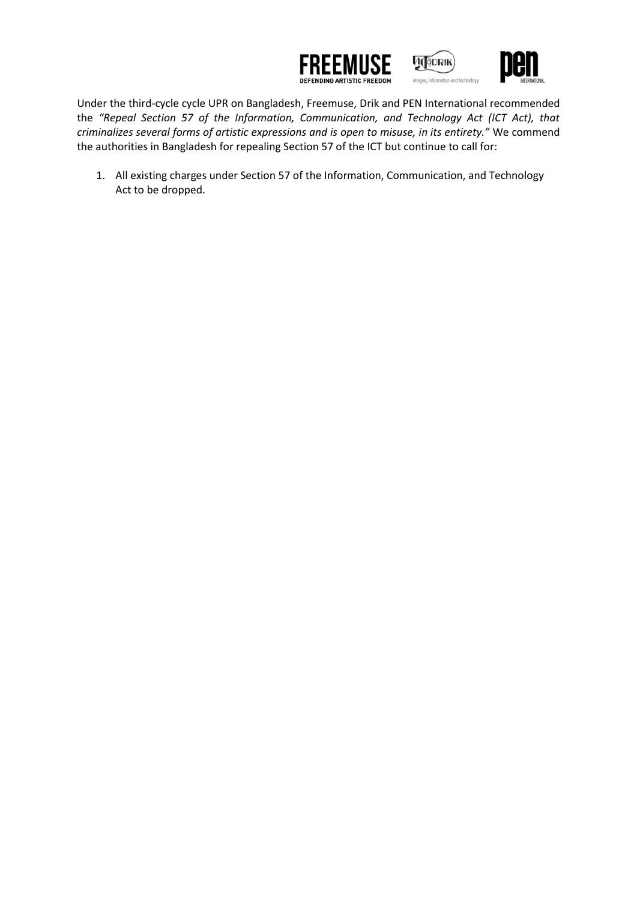





Under the third-cycle cycle UPR on Bangladesh, Freemuse, Drik and PEN International recommended the *"Repeal Section 57 of the Information, Communication, and Technology Act (ICT Act), that criminalizes several forms of artistic expressions and is open to misuse, in its entirety."* We commend the authorities in Bangladesh for repealing Section 57 of the ICT but continue to call for:

1. All existing charges under Section 57 of the Information, Communication, and Technology Act to be dropped.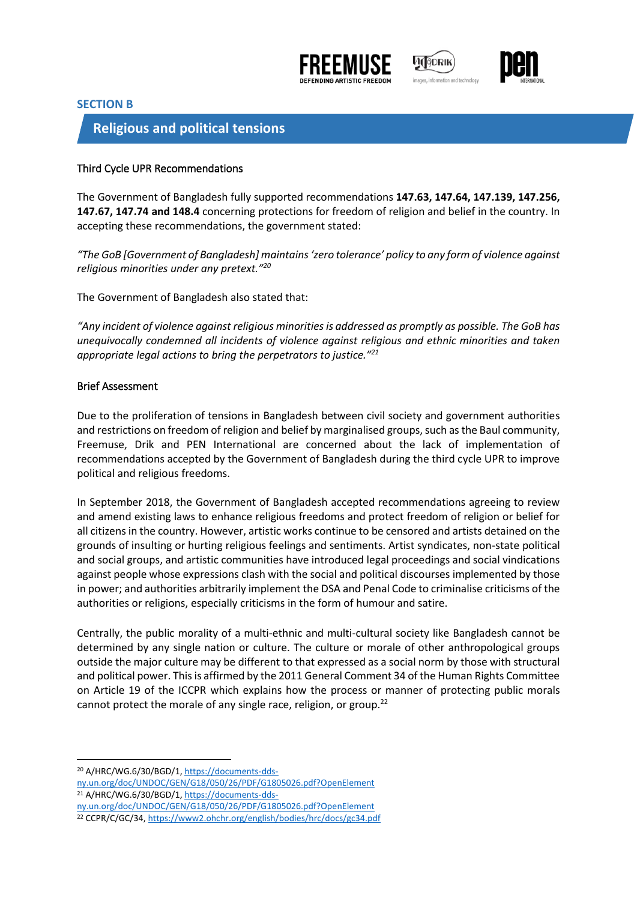





#### **SECTION B**

### **Religious and political tensions**

#### Third Cycle UPR Recommendations

The Government of Bangladesh fully supported recommendations **147.63, 147.64, 147.139, 147.256, 147.67, 147.74 and 148.4** concerning protections for freedom of religion and belief in the country. In accepting these recommendations, the government stated:

*"The GoB [Government of Bangladesh] maintains 'zero tolerance' policy to any form of violence against religious minorities under any pretext."<sup>20</sup>*

The Government of Bangladesh also stated that:

*"Any incident of violence against religious minorities is addressed as promptly as possible. The GoB has unequivocally condemned all incidents of violence against religious and ethnic minorities and taken appropriate legal actions to bring the perpetrators to justice."<sup>21</sup>*

#### Brief Assessment

Due to the proliferation of tensions in Bangladesh between civil society and government authorities and restrictions on freedom of religion and belief by marginalised groups, such as the Baul community, Freemuse, Drik and PEN International are concerned about the lack of implementation of recommendations accepted by the Government of Bangladesh during the third cycle UPR to improve political and religious freedoms.

In September 2018, the Government of Bangladesh accepted recommendations agreeing to review and amend existing laws to enhance religious freedoms and protect freedom of religion or belief for all citizens in the country. However, artistic works continue to be censored and artists detained on the grounds of insulting or hurting religious feelings and sentiments. Artist syndicates, non-state political and social groups, and artistic communities have introduced legal proceedings and social vindications against people whose expressions clash with the social and political discourses implemented by those in power; and authorities arbitrarily implement the DSA and Penal Code to criminalise criticisms of the authorities or religions, especially criticisms in the form of humour and satire.

Centrally, the public morality of a multi-ethnic and multi-cultural society like Bangladesh cannot be determined by any single nation or culture. The culture or morale of other anthropological groups outside the major culture may be different to that expressed as a social norm by those with structural and political power. This is affirmed by the 2011 General Comment 34 of the Human Rights Committee on Article 19 of the ICCPR which explains how the process or manner of protecting public morals cannot protect the morale of any single race, religion, or group.<sup>22</sup>

<sup>20</sup> A/HRC/WG.6/30/BGD/1, [https://documents-dds-](https://documents-dds-ny.un.org/doc/UNDOC/GEN/G18/050/26/PDF/G1805026.pdf?OpenElement)

[ny.un.org/doc/UNDOC/GEN/G18/050/26/PDF/G1805026.pdf?OpenElement](https://documents-dds-ny.un.org/doc/UNDOC/GEN/G18/050/26/PDF/G1805026.pdf?OpenElement) <sup>21</sup> A/HRC/WG.6/30/BGD/1, [https://documents-dds-](https://documents-dds-ny.un.org/doc/UNDOC/GEN/G18/050/26/PDF/G1805026.pdf?OpenElement)

[ny.un.org/doc/UNDOC/GEN/G18/050/26/PDF/G1805026.pdf?OpenElement](https://documents-dds-ny.un.org/doc/UNDOC/GEN/G18/050/26/PDF/G1805026.pdf?OpenElement)

<sup>22</sup> CCPR/C/GC/34, <https://www2.ohchr.org/english/bodies/hrc/docs/gc34.pdf>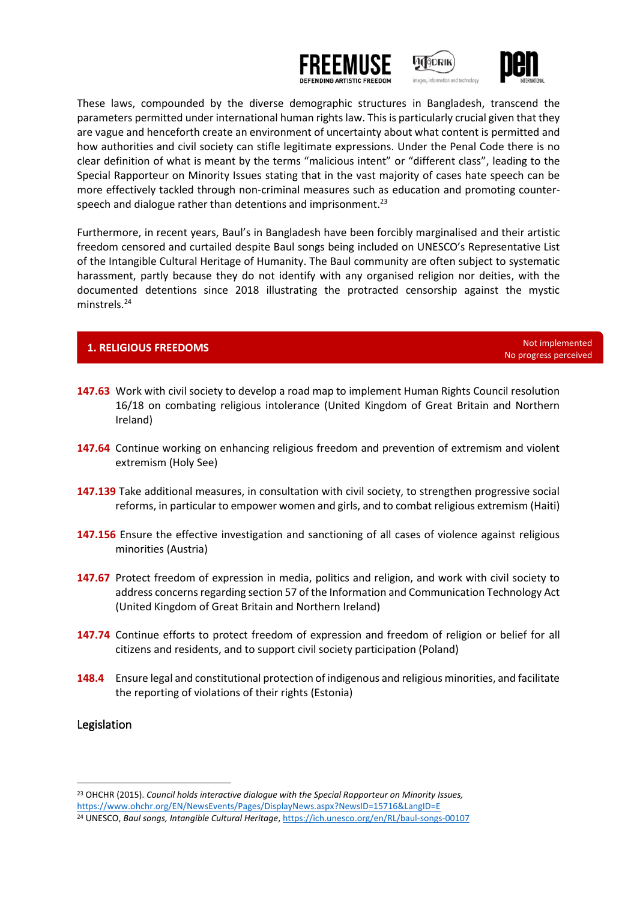





These laws, compounded by the diverse demographic structures in Bangladesh, transcend the parameters permitted under international human rights law. This is particularly crucial given that they are vague and henceforth create an environment of uncertainty about what content is permitted and how authorities and civil society can stifle legitimate expressions. Under the Penal Code there is no clear definition of what is meant by the terms "malicious intent" or "different class", leading to the Special Rapporteur on Minority Issues stating that in the vast majority of cases hate speech can be more effectively tackled through non-criminal measures such as education and promoting counterspeech and dialogue rather than detentions and imprisonment.<sup>23</sup>

Furthermore, in recent years, Baul's in Bangladesh have been forcibly marginalised and their artistic freedom censored and curtailed despite Baul songs being included on UNESCO's Representative List of the Intangible Cultural Heritage of Humanity. The Baul community are often subject to systematic harassment, partly because they do not identify with any organised religion nor deities, with the documented detentions since 2018 illustrating the protracted censorship against the mystic minstrels.<sup>24</sup>

### **1. RELIGIOUS FREEDOMS** Not implemented

No progress perceived

- **147.63** Work with civil society to develop a road map to implement Human Rights Council resolution 16/18 on combating religious intolerance (United Kingdom of Great Britain and Northern Ireland)
- **147.64** Continue working on enhancing religious freedom and prevention of extremism and violent extremism (Holy See)
- **147.139** Take additional measures, in consultation with civil society, to strengthen progressive social reforms, in particular to empower women and girls, and to combat religious extremism (Haiti)
- **147.156** Ensure the effective investigation and sanctioning of all cases of violence against religious minorities (Austria)
- **147.67** Protect freedom of expression in media, politics and religion, and work with civil society to address concerns regarding section 57 of the Information and Communication Technology Act (United Kingdom of Great Britain and Northern Ireland)
- **147.74** Continue efforts to protect freedom of expression and freedom of religion or belief for all citizens and residents, and to support civil society participation (Poland)
- **148.4** Ensure legal and constitutional protection of indigenous and religious minorities, and facilitate the reporting of violations of their rights (Estonia)

#### Legislation

<sup>23</sup> OHCHR (2015). *Council holds interactive dialogue with the Special Rapporteur on Minority Issues,* <https://www.ohchr.org/EN/NewsEvents/Pages/DisplayNews.aspx?NewsID=15716&LangID=E>

<sup>24</sup> UNESCO, *Baul songs, Intangible Cultural Heritage*[, https://ich.unesco.org/en/RL/baul-songs-00107](https://ich.unesco.org/en/RL/baul-songs-00107)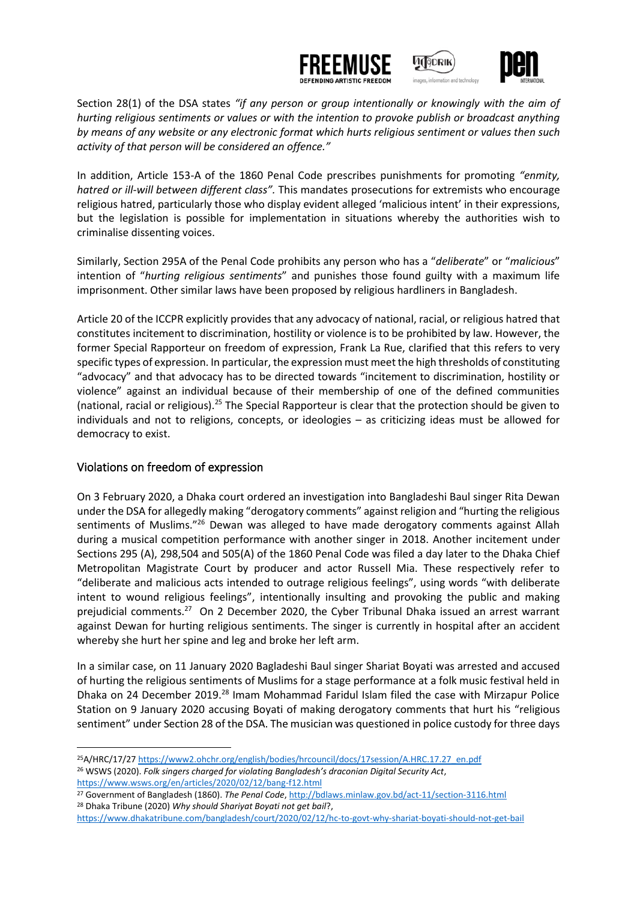





Section 28(1) of the DSA states *"if any person or group intentionally or knowingly with the aim of hurting religious sentiments or values or with the intention to provoke publish or broadcast anything by means of any website or any electronic format which hurts religious sentiment or values then such activity of that person will be considered an offence."*

In addition, Article 153-A of the 1860 Penal Code prescribes punishments for promoting *"enmity, hatred or ill-will between different class".* This mandates prosecutions for extremists who encourage religious hatred, particularly those who display evident alleged 'malicious intent' in their expressions, but the legislation is possible for implementation in situations whereby the authorities wish to criminalise dissenting voices.

Similarly, Section 295A of the Penal Code prohibits any person who has a "*deliberate*" or "*malicious*" intention of "*hurting religious sentiments*" and punishes those found guilty with a maximum life imprisonment. Other similar laws have been proposed by religious hardliners in Bangladesh.

Article 20 of the ICCPR explicitly provides that any advocacy of national, racial, or religious hatred that constitutes incitement to discrimination, hostility or violence is to be prohibited by law. However, the former Special Rapporteur on freedom of expression, Frank La Rue, clarified that this refers to very specific types of expression. In particular, the expression must meet the high thresholds of constituting "advocacy" and that advocacy has to be directed towards "incitement to discrimination, hostility or violence" against an individual because of their membership of one of the defined communities (national, racial or religious).<sup>25</sup> The Special Rapporteur is clear that the protection should be given to individuals and not to religions, concepts, or ideologies – as criticizing ideas must be allowed for democracy to exist.

#### Violations on freedom of expression

On 3 February 2020, a Dhaka court ordered an investigation into Bangladeshi Baul singer Rita Dewan under the DSA for allegedly making "derogatory comments" against religion and "hurting the religious sentiments of Muslims."<sup>26</sup> Dewan was alleged to have made derogatory comments against Allah during a musical competition performance with another singer in 2018. Another incitement under Sections 295 (A), 298,504 and 505(A) of the 1860 Penal Code was filed a day later to the Dhaka Chief Metropolitan Magistrate Court by producer and actor Russell Mia. These respectively refer to "deliberate and malicious acts intended to outrage religious feelings", using words "with deliberate intent to wound religious feelings", intentionally insulting and provoking the public and making prejudicial comments.<sup>27</sup> On 2 December 2020, the Cyber Tribunal Dhaka issued an arrest warrant against Dewan for hurting religious sentiments. The singer is currently in hospital after an accident whereby she hurt her spine and leg and broke her left arm.

In a similar case, on 11 January 2020 Bagladeshi Baul singer Shariat Boyati was arrested and accused of hurting the religious sentiments of Muslims for a stage performance at a folk music festival held in Dhaka on 24 December 2019.<sup>28</sup> Imam Mohammad Faridul Islam filed the case with Mirzapur Police Station on 9 January 2020 accusing Boyati of making derogatory comments that hurt his "religious sentiment" under Section 28 of the DSA. The musician was questioned in police custody for three days

<sup>25</sup>A/HRC/17/2[7 https://www2.ohchr.org/english/bodies/hrcouncil/docs/17session/A.HRC.17.27\\_en.pdf](https://www2.ohchr.org/english/bodies/hrcouncil/docs/17session/A.HRC.17.27_en.pdf) <sup>26</sup> WSWS (2020). *Folk singers charged for violating Bangladesh's draconian Digital Security Act*, <https://www.wsws.org/en/articles/2020/02/12/bang-f12.html>

<sup>27</sup> Government of Bangladesh (1860). *The Penal Code*[, http://bdlaws.minlaw.gov.bd/act-11/section-3116.html](http://bdlaws.minlaw.gov.bd/act-11/section-3116.html) <sup>28</sup> Dhaka Tribune (2020) *Why should Shariyat Boyati not get bail*?,

<https://www.dhakatribune.com/bangladesh/court/2020/02/12/hc-to-govt-why-shariat-boyati-should-not-get-bail>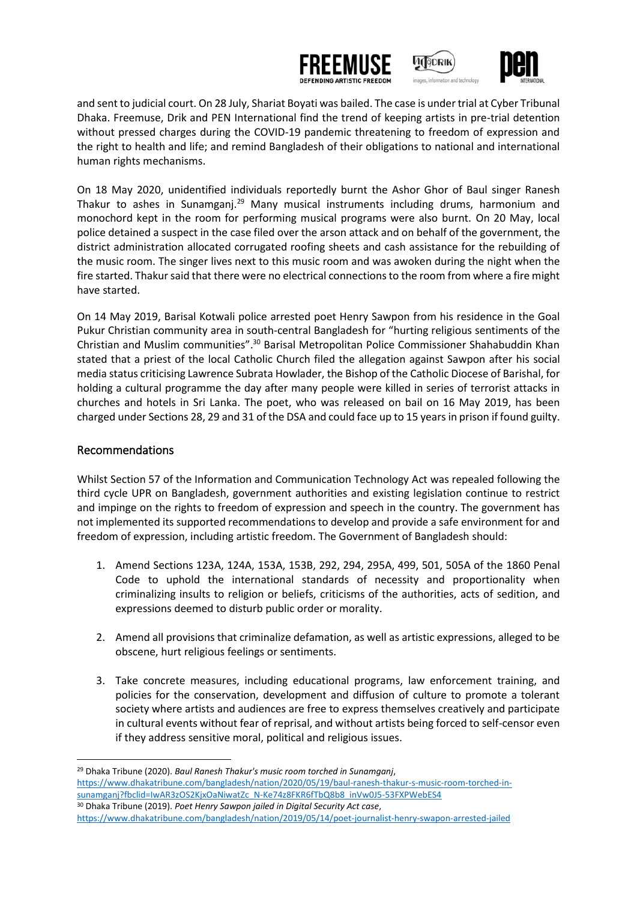





and sent to judicial court. On 28 July, Shariat Boyati was bailed. The case is under trial at Cyber Tribunal Dhaka. Freemuse, Drik and PEN International find the trend of keeping artists in pre-trial detention without pressed charges during the COVID-19 pandemic threatening to freedom of expression and the right to health and life; and remind Bangladesh of their obligations to national and international human rights mechanisms.

On 18 May 2020, unidentified individuals reportedly burnt the Ashor Ghor of Baul singer Ranesh Thakur to ashes in Sunamganj.<sup>29</sup> Many musical instruments including drums, harmonium and monochord kept in the room for performing musical programs were also burnt. On 20 May, local police detained a suspect in the case filed over the arson attack and on behalf of the government, the district administration allocated corrugated roofing sheets and cash assistance for the rebuilding of the music room. The singer lives next to this music room and was awoken during the night when the fire started. Thakur said that there were no electrical connections to the room from where a fire might have started.

On 14 May 2019, Barisal Kotwali police arrested poet Henry Sawpon from his residence in the Goal Pukur Christian community area in south-central Bangladesh for "hurting religious sentiments of the Christian and Muslim communities".<sup>30</sup> Barisal Metropolitan Police Commissioner Shahabuddin Khan stated that a priest of the local Catholic Church filed the allegation against Sawpon after his social media status criticising Lawrence Subrata Howlader, the Bishop of the Catholic Diocese of Barishal, for holding a cultural programme the day after many people were killed in series of terrorist attacks in churches and hotels in Sri Lanka. The poet, who was released on bail on 16 May 2019, has been charged under Sections 28, 29 and 31 of the DSA and could face up to 15 years in prison if found guilty.

#### Recommendations

Whilst Section 57 of the Information and Communication Technology Act was repealed following the third cycle UPR on Bangladesh, government authorities and existing legislation continue to restrict and impinge on the rights to freedom of expression and speech in the country. The government has not implemented its supported recommendations to develop and provide a safe environment for and freedom of expression, including artistic freedom. The Government of Bangladesh should:

- 1. Amend Sections 123A, 124A, 153A, 153B, 292, 294, 295A, 499, 501, 505A of the 1860 Penal Code to uphold the international standards of necessity and proportionality when criminalizing insults to religion or beliefs, criticisms of the authorities, acts of sedition, and expressions deemed to disturb public order or morality.
- 2. Amend all provisions that criminalize defamation, as well as artistic expressions, alleged to be obscene, hurt religious feelings or sentiments.
- 3. Take concrete measures, including educational programs, law enforcement training, and policies for the conservation, development and diffusion of culture to promote a tolerant society where artists and audiences are free to express themselves creatively and participate in cultural events without fear of reprisal, and without artists being forced to self-censor even if they address sensitive moral, political and religious issues.

<https://www.dhakatribune.com/bangladesh/nation/2019/05/14/poet-journalist-henry-swapon-arrested-jailed>

<sup>29</sup> Dhaka Tribune (2020). *Baul Ranesh Thakur's music room torched in Sunamganj*, [https://www.dhakatribune.com/bangladesh/nation/2020/05/19/baul-ranesh-thakur-s-music-room-torched-in](https://www.dhakatribune.com/bangladesh/nation/2020/05/19/baul-ranesh-thakur-s-music-room-torched-in-sunamganj?fbclid=IwAR3zOS2KjxOaNiwatZc_N-Ke74z8FKR6fTbQ8b8_inVw0J5-53FXPWebES4)[sunamganj?fbclid=IwAR3zOS2KjxOaNiwatZc\\_N-Ke74z8FKR6fTbQ8b8\\_inVw0J5-53FXPWebES4](https://www.dhakatribune.com/bangladesh/nation/2020/05/19/baul-ranesh-thakur-s-music-room-torched-in-sunamganj?fbclid=IwAR3zOS2KjxOaNiwatZc_N-Ke74z8FKR6fTbQ8b8_inVw0J5-53FXPWebES4) <sup>30</sup> Dhaka Tribune (2019). *Poet Henry Sawpon jailed in Digital Security Act case*,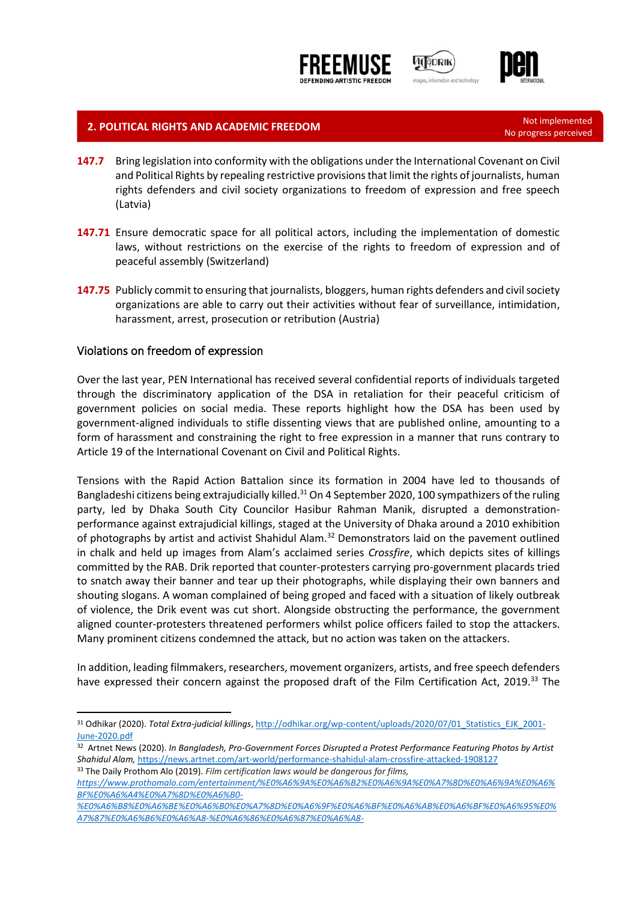





# **2. POLITICAL RIGHTS AND ACADEMIC FREEDOM Not implemented**

- **147.7** Bring legislation into conformity with the obligations under the International Covenant on Civil and Political Rights by repealing restrictive provisions that limit the rights of journalists, human rights defenders and civil society organizations to freedom of expression and free speech (Latvia)
- **147.71** Ensure democratic space for all political actors, including the implementation of domestic laws, without restrictions on the exercise of the rights to freedom of expression and of peaceful assembly (Switzerland)
- **147.75** Publicly commit to ensuring that journalists, bloggers, human rights defenders and civil society organizations are able to carry out their activities without fear of surveillance, intimidation, harassment, arrest, prosecution or retribution (Austria)

#### Violations on freedom of expression

Over the last year, PEN International has received several confidential reports of individuals targeted through the discriminatory application of the DSA in retaliation for their peaceful criticism of government policies on social media. These reports highlight how the DSA has been used by government-aligned individuals to stifle dissenting views that are published online, amounting to a form of harassment and constraining the right to free expression in a manner that runs contrary to Article 19 of the International Covenant on Civil and Political Rights.

Tensions with the Rapid Action Battalion since its formation in 2004 have led to thousands of Bangladeshi citizens being extrajudicially killed.<sup>31</sup> On 4 September 2020, 100 sympathizers of the ruling party, led by Dhaka South City Councilor Hasibur Rahman Manik, disrupted a demonstrationperformance against extrajudicial killings, staged at the University of Dhaka around a 2010 exhibition of photographs by artist and activist Shahidul Alam.<sup>32</sup> Demonstrators laid on the pavement outlined in chalk and held up images from Alam's acclaimed series *Crossfire*, which depicts sites of killings committed by the RAB. Drik reported that counter-protesters carrying pro-government placards tried to snatch away their banner and tear up their photographs, while displaying their own banners and shouting slogans. A woman complained of being groped and faced with a situation of likely outbreak of violence, the Drik event was cut short. Alongside obstructing the performance, the government aligned counter-protesters threatened performers whilst police officers failed to stop the attackers. Many prominent citizens condemned the attack, but no action was taken on the attackers.

In addition, leading filmmakers, researchers, movement organizers, artists, and free speech defenders have expressed their concern against the proposed draft of the Film Certification Act, 2019.<sup>33</sup> The

No progress perceived

<sup>&</sup>lt;sup>31</sup> Odhikar (2020). *Total Extra-judicial killings*[, http://odhikar.org/wp-content/uploads/2020/07/01\\_Statistics\\_EJK\\_2001-](http://odhikar.org/wp-content/uploads/2020/07/01_Statistics_EJK_2001-June-2020.pdf) [June-2020.pdf](http://odhikar.org/wp-content/uploads/2020/07/01_Statistics_EJK_2001-June-2020.pdf)

<sup>32</sup> Artnet News (2020). *In Bangladesh, Pro-Government Forces Disrupted a Protest Performance Featuring Photos by Artist Shahidul Alam,* <https://news.artnet.com/art-world/performance-shahidul-alam-crossfire-attacked-1908127> <sup>33</sup> The Daily Prothom Alo (2019). *Film certification laws would be dangerous for films,* 

*[https://www.prothomalo.com/entertainment/%E0%A6%9A%E0%A6%B2%E0%A6%9A%E0%A7%8D%E0%A6%9A%E0%A6%](https://www.prothomalo.com/entertainment/%E0%A6%9A%E0%A6%B2%E0%A6%9A%E0%A7%8D%E0%A6%9A%E0%A6%BF%E0%A6%A4%E0%A7%8D%E0%A6%B0-%E0%A6%B8%E0%A6%BE%E0%A6%B0%E0%A7%8D%E0%A6%9F%E0%A6%BF%E0%A6%AB%E0%A6%BF%E0%A6%95%E0%A7%87%E0%A6%B6%E0%A6%A8-%E0%A6%86%E0%A6%87%E0%A6%A8-%E0%A6%9A%E0%A6%B2%E0%A6%9A%E0%A7%8D%E0%A6%9A%E0%A6%BF%E0%A6%A4%E0%A7%8D%E0%A6%B0%E0%A7%87%E0%A6%B0-%E0%A6%9C%E0%A6%A8%E0%A7%8D%E0%A6%AF) [BF%E0%A6%A4%E0%A7%8D%E0%A6%B0-](https://www.prothomalo.com/entertainment/%E0%A6%9A%E0%A6%B2%E0%A6%9A%E0%A7%8D%E0%A6%9A%E0%A6%BF%E0%A6%A4%E0%A7%8D%E0%A6%B0-%E0%A6%B8%E0%A6%BE%E0%A6%B0%E0%A7%8D%E0%A6%9F%E0%A6%BF%E0%A6%AB%E0%A6%BF%E0%A6%95%E0%A7%87%E0%A6%B6%E0%A6%A8-%E0%A6%86%E0%A6%87%E0%A6%A8-%E0%A6%9A%E0%A6%B2%E0%A6%9A%E0%A7%8D%E0%A6%9A%E0%A6%BF%E0%A6%A4%E0%A7%8D%E0%A6%B0%E0%A7%87%E0%A6%B0-%E0%A6%9C%E0%A6%A8%E0%A7%8D%E0%A6%AF)*

*[<sup>%</sup>E0%A6%B8%E0%A6%BE%E0%A6%B0%E0%A7%8D%E0%A6%9F%E0%A6%BF%E0%A6%AB%E0%A6%BF%E0%A6%95%E0%](https://www.prothomalo.com/entertainment/%E0%A6%9A%E0%A6%B2%E0%A6%9A%E0%A7%8D%E0%A6%9A%E0%A6%BF%E0%A6%A4%E0%A7%8D%E0%A6%B0-%E0%A6%B8%E0%A6%BE%E0%A6%B0%E0%A7%8D%E0%A6%9F%E0%A6%BF%E0%A6%AB%E0%A6%BF%E0%A6%95%E0%A7%87%E0%A6%B6%E0%A6%A8-%E0%A6%86%E0%A6%87%E0%A6%A8-%E0%A6%9A%E0%A6%B2%E0%A6%9A%E0%A7%8D%E0%A6%9A%E0%A6%BF%E0%A6%A4%E0%A7%8D%E0%A6%B0%E0%A7%87%E0%A6%B0-%E0%A6%9C%E0%A6%A8%E0%A7%8D%E0%A6%AF) [A7%87%E0%A6%B6%E0%A6%A8-%E0%A6%86%E0%A6%87%E0%A6%A8-](https://www.prothomalo.com/entertainment/%E0%A6%9A%E0%A6%B2%E0%A6%9A%E0%A7%8D%E0%A6%9A%E0%A6%BF%E0%A6%A4%E0%A7%8D%E0%A6%B0-%E0%A6%B8%E0%A6%BE%E0%A6%B0%E0%A7%8D%E0%A6%9F%E0%A6%BF%E0%A6%AB%E0%A6%BF%E0%A6%95%E0%A7%87%E0%A6%B6%E0%A6%A8-%E0%A6%86%E0%A6%87%E0%A6%A8-%E0%A6%9A%E0%A6%B2%E0%A6%9A%E0%A7%8D%E0%A6%9A%E0%A6%BF%E0%A6%A4%E0%A7%8D%E0%A6%B0%E0%A7%87%E0%A6%B0-%E0%A6%9C%E0%A6%A8%E0%A7%8D%E0%A6%AF)*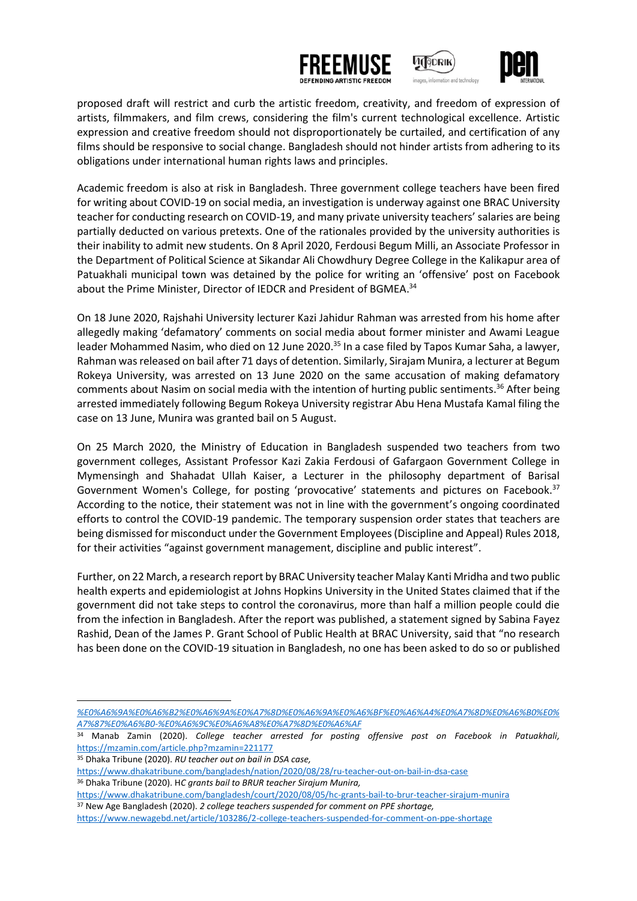





proposed draft will restrict and curb the artistic freedom, creativity, and freedom of expression of artists, filmmakers, and film crews, considering the film's current technological excellence. Artistic expression and creative freedom should not disproportionately be curtailed, and certification of any films should be responsive to social change. Bangladesh should not hinder artists from adhering to its obligations under international human rights laws and principles.

Academic freedom is also at risk in Bangladesh. Three government college teachers have been fired for writing about COVID-19 on social media, an investigation is underway against one BRAC University teacher for conducting research on COVID-19, and many private university teachers' salaries are being partially deducted on various pretexts. One of the rationales provided by the university authorities is their inability to admit new students. On 8 April 2020, Ferdousi Begum Milli, an Associate Professor in the Department of Political Science at Sikandar Ali Chowdhury Degree College in the Kalikapur area of Patuakhali municipal town was detained by the police for writing an 'offensive' post on Facebook about the Prime Minister, Director of IEDCR and President of BGMEA.<sup>34</sup>

On 18 June 2020, Rajshahi University lecturer Kazi Jahidur Rahman was arrested from his home after allegedly making 'defamatory' comments on social media about former minister and Awami League leader Mohammed Nasim, who died on 12 June 2020.<sup>35</sup> In a case filed by Tapos Kumar Saha, a lawyer, Rahman was released on bail after 71 days of detention. Similarly, Sirajam Munira, a lecturer at Begum Rokeya University, was arrested on 13 June 2020 on the same accusation of making defamatory comments about Nasim on social media with the intention of hurting public sentiments. <sup>36</sup> After being arrested immediately following Begum Rokeya University registrar Abu Hena Mustafa Kamal filing the case on 13 June, Munira was granted bail on 5 August.

On 25 March 2020, the Ministry of Education in Bangladesh suspended two teachers from two government colleges, Assistant Professor Kazi Zakia Ferdousi of Gafargaon Government College in Mymensingh and Shahadat Ullah Kaiser, a Lecturer in the philosophy department of Barisal Government Women's College, for posting 'provocative' statements and pictures on Facebook.<sup>37</sup> According to the notice, their statement was not in line with the government's ongoing coordinated efforts to control the COVID-19 pandemic. The temporary suspension order states that teachers are being dismissed for misconduct under the Government Employees (Discipline and Appeal) Rules 2018, for their activities "against government management, discipline and public interest".

Further, on 22 March, a research report by BRAC University teacher Malay Kanti Mridha and two public health experts and epidemiologist at Johns Hopkins University in the United States claimed that if the government did not take steps to control the coronavirus, more than half a million people could die from the infection in Bangladesh. After the report was published, a statement signed by Sabina Fayez Rashid, Dean of the James P. Grant School of Public Health at BRAC University, said that "no research has been done on the COVID-19 situation in Bangladesh, no one has been asked to do so or published

- <sup>35</sup> Dhaka Tribune (2020). *RU teacher out on bail in DSA case,*
- <https://www.dhakatribune.com/bangladesh/nation/2020/08/28/ru-teacher-out-on-bail-in-dsa-case> <sup>36</sup> Dhaka Tribune (2020). H*C grants bail to BRUR teacher Sirajum Munira,*

*[<sup>%</sup>E0%A6%9A%E0%A6%B2%E0%A6%9A%E0%A7%8D%E0%A6%9A%E0%A6%BF%E0%A6%A4%E0%A7%8D%E0%A6%B0%E0%](https://www.prothomalo.com/entertainment/%E0%A6%9A%E0%A6%B2%E0%A6%9A%E0%A7%8D%E0%A6%9A%E0%A6%BF%E0%A6%A4%E0%A7%8D%E0%A6%B0-%E0%A6%B8%E0%A6%BE%E0%A6%B0%E0%A7%8D%E0%A6%9F%E0%A6%BF%E0%A6%AB%E0%A6%BF%E0%A6%95%E0%A7%87%E0%A6%B6%E0%A6%A8-%E0%A6%86%E0%A6%87%E0%A6%A8-%E0%A6%9A%E0%A6%B2%E0%A6%9A%E0%A7%8D%E0%A6%9A%E0%A6%BF%E0%A6%A4%E0%A7%8D%E0%A6%B0%E0%A7%87%E0%A6%B0-%E0%A6%9C%E0%A6%A8%E0%A7%8D%E0%A6%AF) [A7%87%E0%A6%B0-%E0%A6%9C%E0%A6%A8%E0%A7%8D%E0%A6%AF](https://www.prothomalo.com/entertainment/%E0%A6%9A%E0%A6%B2%E0%A6%9A%E0%A7%8D%E0%A6%9A%E0%A6%BF%E0%A6%A4%E0%A7%8D%E0%A6%B0-%E0%A6%B8%E0%A6%BE%E0%A6%B0%E0%A7%8D%E0%A6%9F%E0%A6%BF%E0%A6%AB%E0%A6%BF%E0%A6%95%E0%A7%87%E0%A6%B6%E0%A6%A8-%E0%A6%86%E0%A6%87%E0%A6%A8-%E0%A6%9A%E0%A6%B2%E0%A6%9A%E0%A7%8D%E0%A6%9A%E0%A6%BF%E0%A6%A4%E0%A7%8D%E0%A6%B0%E0%A7%87%E0%A6%B0-%E0%A6%9C%E0%A6%A8%E0%A7%8D%E0%A6%AF)*

<sup>34</sup> Manab Zamin (2020). *College teacher arrested for posting offensive post on Facebook in Patuakhali,* [https://mzamin.com/article.php?mzamin=](https://mzamin.com/article.php?mzamin=221177)221177

<https://www.dhakatribune.com/bangladesh/court/2020/08/05/hc-grants-bail-to-brur-teacher-sirajum-munira> <sup>37</sup> New Age Bangladesh (2020). *2 college teachers suspended for comment on PPE shortage,*

<https://www.newagebd.net/article/103286/2-college-teachers-suspended-for-comment-on-ppe-shortage>